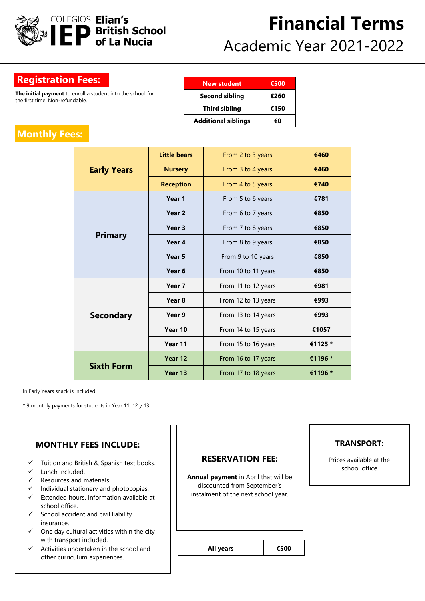

# **Financial Terms** Academic Year 2021-2022

### **Registration Fees:**

**The initial payment** to enroll a student into the school for the first time. Non-refundable.

| <b>New student</b>         | €500 |
|----------------------------|------|
| <b>Second sibling</b>      | €260 |
| <b>Third sibling</b>       | €150 |
| <b>Additional siblings</b> | €Ω   |

## **Monthly Fees:**

| <b>Early Years</b> | <b>Little bears</b> | From 2 to 3 years   | €460    |
|--------------------|---------------------|---------------------|---------|
|                    | <b>Nursery</b>      | From 3 to 4 years   | €460    |
|                    | <b>Reception</b>    | From 4 to 5 years   | €740    |
| <b>Primary</b>     | Year 1              | From 5 to 6 years   | €781    |
|                    | Year <sub>2</sub>   | From 6 to 7 years   | €850    |
|                    | Year 3              | From 7 to 8 years   | €850    |
|                    | Year 4              | From 8 to 9 years   | €850    |
|                    | Year 5              | From 9 to 10 years  | €850    |
|                    | Year 6              | From 10 to 11 years | €850    |
| <b>Secondary</b>   | Year 7              | From 11 to 12 years | €981    |
|                    | Year <sub>8</sub>   | From 12 to 13 years | €993    |
|                    | Year 9              | From 13 to 14 years | €993    |
|                    | Year 10             | From 14 to 15 years | €1057   |
|                    | Year 11             | From 15 to 16 years | €1125 * |
| <b>Sixth Form</b>  | Year 12             | From 16 to 17 years | €1196 * |
|                    | Year 13             | From 17 to 18 years | €1196 * |

In Early Years snack is included.

\* 9 monthly payments for students in Year 11, 12 y 13

| <b>MONTHLY FEES INCLUDE:</b>                                                                                                                                                                                                                                                                                                                                                                     |                                                                                                                                       |      | <b>TRANSPORT:</b>                        |
|--------------------------------------------------------------------------------------------------------------------------------------------------------------------------------------------------------------------------------------------------------------------------------------------------------------------------------------------------------------------------------------------------|---------------------------------------------------------------------------------------------------------------------------------------|------|------------------------------------------|
| $\checkmark$ Tuition and British & Spanish text books.<br>Lunch included.<br>✓<br>Resources and materials.<br>$\checkmark$<br>Individual stationery and photocopies.<br>$\checkmark$<br>$\checkmark$ Extended hours. Information available at<br>school office.<br>$\checkmark$ School accident and civil liability<br>insurance.<br>One day cultural activities within the city<br>$\checkmark$ | <b>RESERVATION FEE:</b><br>Annual payment in April that will be<br>discounted from September's<br>instalment of the next school year. |      | Prices available at the<br>school office |
| with transport included.<br>$\checkmark$ Activities undertaken in the school and<br>other curriculum experiences.                                                                                                                                                                                                                                                                                | All years                                                                                                                             | €500 |                                          |